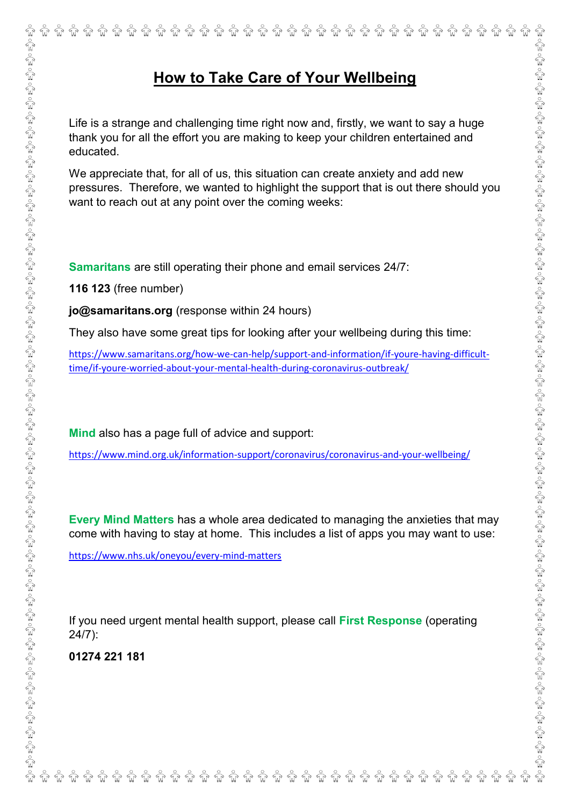## **How to Take Care of Your Wellbeing**

Life is a strange and challenging time right now and, firstly, we want to say a huge thank you for all the effort you are making to keep your children entertained and educated.

We appreciate that, for all of us, this situation can create anxiety and add new pressures. Therefore, we wanted to highlight the support that is out there should you want to reach out at any point over the coming weeks:

**Samaritans** are still operating their phone and email services 24/7:

**116 123** (free number)

**[jo@samaritans.org](mailto:jo@samaritans.org)** (response within 24 hours)

They also have some great tips for looking after your wellbeing during this time:

https://www.samaritans.org/how-we-can-help/support-and-information/if-youre-having-difficulttime/if-youre-worried-about-your-mental-health-during-coronavirus-outbreak/

**Mind** also has a page full of advice and support:

<https://www.mind.org.uk/information-support/coronavirus/coronavirus-and-your-wellbeing/>

**Every Mind Matters** has a whole area dedicated to managing the anxieties that may come with having to stay at home. This includes a list of apps you may want to use:

<https://www.nhs.uk/oneyou/every-mind-matters>

If you need urgent mental health support, please call **First Response** (operating 24/7):

**01274 221 181**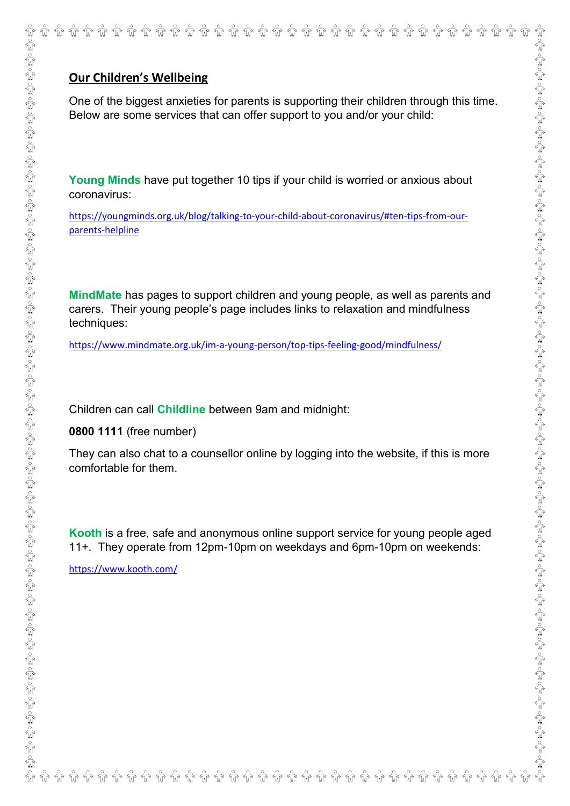One of the biggest anxieties for parents is supporting their children through this time. Below are some services that can offer support to you and/or your child:

**Young Minds** have put together 10 tips if your child is worried or anxious about coronavirus:

[https://youngminds.org.uk/blog/talking-to-your-child-about-coronavirus/#ten-tips-from-our](https://youngminds.org.uk/blog/talking-to-your-child-about-coronavirus/#ten-tips-from-our-parents-helpline)[parents-helpline](https://youngminds.org.uk/blog/talking-to-your-child-about-coronavirus/#ten-tips-from-our-parents-helpline)

**MindMate** has pages to support children and young people, as well as parents and carers. Their young people's page includes links to relaxation and mindfulness techniques:

<https://www.mindmate.org.uk/im-a-young-person/top-tips-feeling-good/mindfulness/>

Children can call **Childline** between 9am and midnight:

**0800 1111** (free number)

They can also chat to a counsellor online by logging into the website, if this is more comfortable for them.

**Kooth** is a free, safe and anonymous online support service for young people aged 11+. They operate from 12pm-10pm on weekdays and 6pm-10pm on weekends:

<https://www.kooth.com/>